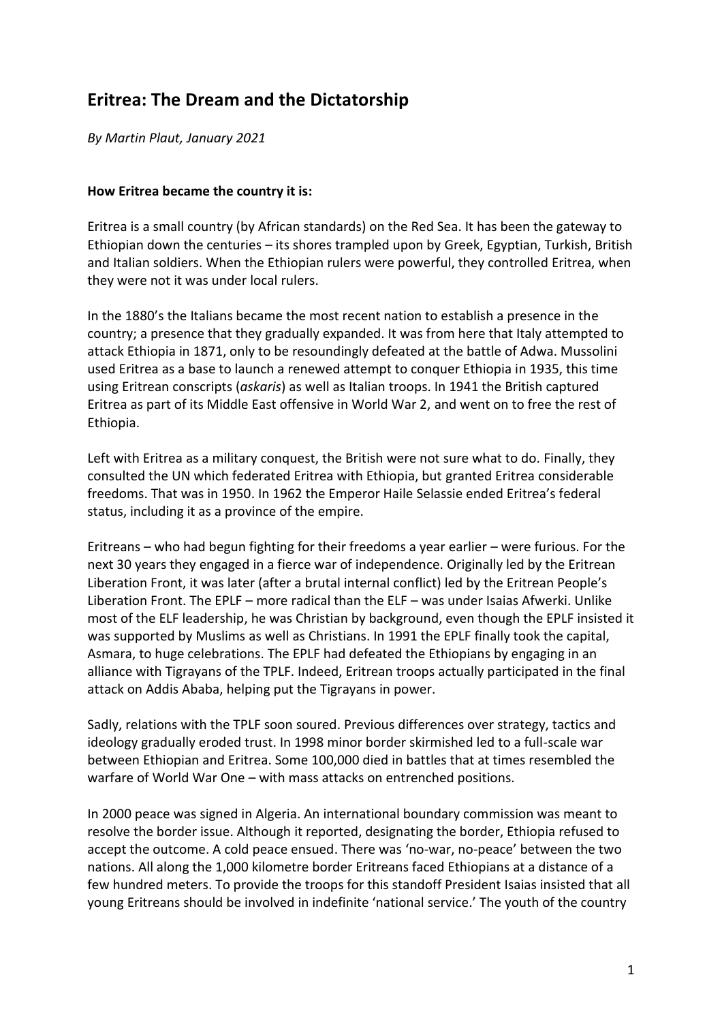## **Eritrea: The Dream and the Dictatorship**

*By Martin Plaut, January 2021*

## **How Eritrea became the country it is:**

Eritrea is a small country (by African standards) on the Red Sea. It has been the gateway to Ethiopian down the centuries – its shores trampled upon by Greek, Egyptian, Turkish, British and Italian soldiers. When the Ethiopian rulers were powerful, they controlled Eritrea, when they were not it was under local rulers.

In the 1880's the Italians became the most recent nation to establish a presence in the country; a presence that they gradually expanded. It was from here that Italy attempted to attack Ethiopia in 1871, only to be resoundingly defeated at the battle of Adwa. Mussolini used Eritrea as a base to launch a renewed attempt to conquer Ethiopia in 1935, this time using Eritrean conscripts (*askaris*) as well as Italian troops. In 1941 the British captured Eritrea as part of its Middle East offensive in World War 2, and went on to free the rest of Ethiopia.

Left with Eritrea as a military conquest, the British were not sure what to do. Finally, they consulted the UN which federated Eritrea with Ethiopia, but granted Eritrea considerable freedoms. That was in 1950. In 1962 the Emperor Haile Selassie ended Eritrea's federal status, including it as a province of the empire.

Eritreans – who had begun fighting for their freedoms a year earlier – were furious. For the next 30 years they engaged in a fierce war of independence. Originally led by the Eritrean Liberation Front, it was later (after a brutal internal conflict) led by the Eritrean People's Liberation Front. The EPLF – more radical than the ELF – was under Isaias Afwerki. Unlike most of the ELF leadership, he was Christian by background, even though the EPLF insisted it was supported by Muslims as well as Christians. In 1991 the EPLF finally took the capital, Asmara, to huge celebrations. The EPLF had defeated the Ethiopians by engaging in an alliance with Tigrayans of the TPLF. Indeed, Eritrean troops actually participated in the final attack on Addis Ababa, helping put the Tigrayans in power.

Sadly, relations with the TPLF soon soured. Previous differences over strategy, tactics and ideology gradually eroded trust. In 1998 minor border skirmished led to a full-scale war between Ethiopian and Eritrea. Some 100,000 died in battles that at times resembled the warfare of World War One – with mass attacks on entrenched positions.

In 2000 peace was signed in Algeria. An international boundary commission was meant to resolve the border issue. Although it reported, designating the border, Ethiopia refused to accept the outcome. A cold peace ensued. There was 'no-war, no-peace' between the two nations. All along the 1,000 kilometre border Eritreans faced Ethiopians at a distance of a few hundred meters. To provide the troops for this standoff President Isaias insisted that all young Eritreans should be involved in indefinite 'national service.' The youth of the country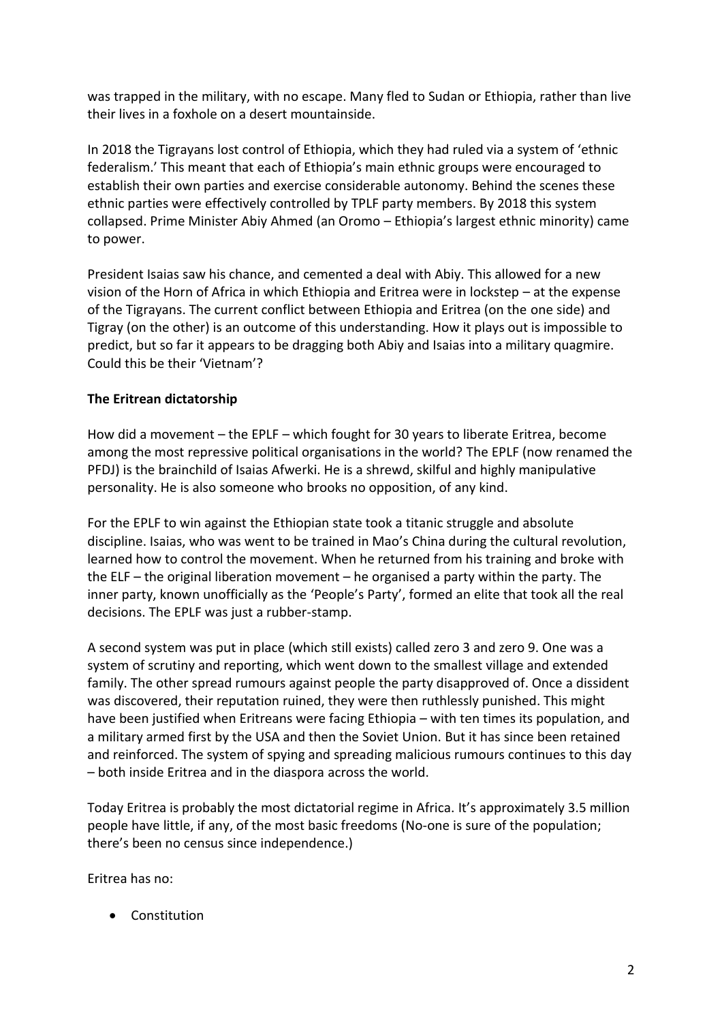was trapped in the military, with no escape. Many fled to Sudan or Ethiopia, rather than live their lives in a foxhole on a desert mountainside.

In 2018 the Tigrayans lost control of Ethiopia, which they had ruled via a system of 'ethnic federalism.' This meant that each of Ethiopia's main ethnic groups were encouraged to establish their own parties and exercise considerable autonomy. Behind the scenes these ethnic parties were effectively controlled by TPLF party members. By 2018 this system collapsed. Prime Minister Abiy Ahmed (an Oromo – Ethiopia's largest ethnic minority) came to power.

President Isaias saw his chance, and cemented a deal with Abiy. This allowed for a new vision of the Horn of Africa in which Ethiopia and Eritrea were in lockstep – at the expense of the Tigrayans. The current conflict between Ethiopia and Eritrea (on the one side) and Tigray (on the other) is an outcome of this understanding. How it plays out is impossible to predict, but so far it appears to be dragging both Abiy and Isaias into a military quagmire. Could this be their 'Vietnam'?

## **The Eritrean dictatorship**

How did a movement – the EPLF – which fought for 30 years to liberate Eritrea, become among the most repressive political organisations in the world? The EPLF (now renamed the PFDJ) is the brainchild of Isaias Afwerki. He is a shrewd, skilful and highly manipulative personality. He is also someone who brooks no opposition, of any kind.

For the EPLF to win against the Ethiopian state took a titanic struggle and absolute discipline. Isaias, who was went to be trained in Mao's China during the cultural revolution, learned how to control the movement. When he returned from his training and broke with the ELF – the original liberation movement – he organised a party within the party. The inner party, known unofficially as the 'People's Party', formed an elite that took all the real decisions. The EPLF was just a rubber-stamp.

A second system was put in place (which still exists) called zero 3 and zero 9. One was a system of scrutiny and reporting, which went down to the smallest village and extended family. The other spread rumours against people the party disapproved of. Once a dissident was discovered, their reputation ruined, they were then ruthlessly punished. This might have been justified when Eritreans were facing Ethiopia – with ten times its population, and a military armed first by the USA and then the Soviet Union. But it has since been retained and reinforced. The system of spying and spreading malicious rumours continues to this day – both inside Eritrea and in the diaspora across the world.

Today Eritrea is probably the most dictatorial regime in Africa. It's approximately 3.5 million people have little, if any, of the most basic freedoms (No-one is sure of the population; there's been no census since independence.)

Eritrea has no:

• Constitution